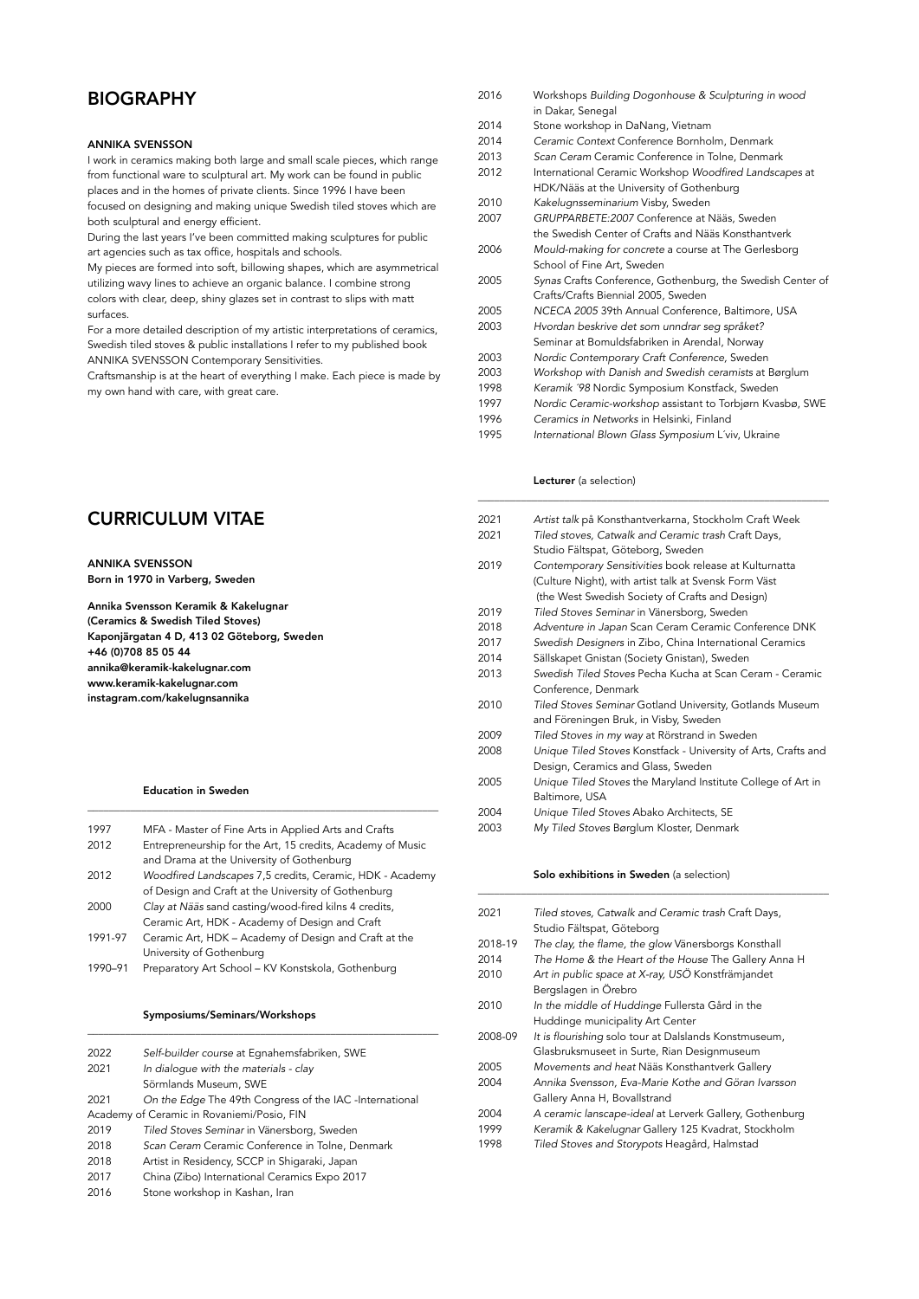## **BIOGRAPHY**

## ANNIKA SVENSSON

I work in ceramics making both large and small scale pieces, which range from functional ware to sculptural art. My work can be found in public places and in the homes of private clients. Since 1996 I have been

focused on designing and making unique Swedish tiled stoves which are both sculptural and energy efficient.

During the last years I've been committed making sculptures for public art agencies such as tax office, hospitals and schools.

My pieces are formed into soft, billowing shapes, which are asymmetrical utilizing wavy lines to achieve an organic balance. I combine strong colors with clear, deep, shiny glazes set in contrast to slips with matt surfaces.

For a more detailed description of my artistic interpretations of ceramics, Swedish tiled stoves & public installations I refer to my published book ANNIKA SVENSSON Contemporary Sensitivities.

Craftsmanship is at the heart of everything I make. Each piece is made by my own hand with care, with great care.

| <b>CURRICULUM VITAE</b> |
|-------------------------|
|-------------------------|

# ANNIKA SVENSSON

Born in 1970 in Varberg, Sweden

Annika Svensson Keramik & Kakelugnar (Ceramics & Swedish Tiled Stoves) Kaponjärgatan 4 D, 413 02 Göteborg, Sweden +46 (0)708 85 05 44 annika@keramik-kakelugnar.com www.keramik-kakelugnar.com [instagram.com/kakelugnsannika](http://instagram.com/kakelugnsannika)

#### Education in Sweden

| 1997    | MFA - Master of Fine Arts in Applied Arts and Crafts       |
|---------|------------------------------------------------------------|
| 2012    | Entrepreneurship for the Art, 15 credits, Academy of Music |
|         | and Drama at the University of Gothenburg                  |
| 2012    | Woodfired Landscapes 7,5 credits, Ceramic, HDK - Academy   |
|         | of Design and Craft at the University of Gothenburg        |
| 2000    | Clay at Nääs sand casting/wood-fired kilns 4 credits,      |
|         | Ceramic Art, HDK - Academy of Design and Craft             |
| 1991-97 | Ceramic Art, HDK - Academy of Design and Craft at the      |
|         | University of Gothenburg                                   |
| 1990-91 | Preparatory Art School - KV Konstskola, Gothenburg         |
|         |                                                            |

\_\_\_\_\_\_\_\_\_\_\_\_\_\_\_\_\_\_\_\_\_\_\_\_\_\_\_\_\_\_\_\_\_\_\_\_\_\_\_\_\_\_\_\_\_\_\_\_\_\_\_\_\_\_\_\_\_\_\_\_\_\_\_\_\_

#### Symposiums/Seminars/Workshops

| 2022 | Self-builder course at Egnahemsfabriken, SWE            |
|------|---------------------------------------------------------|
| 2021 | In dialoque with the materials - clay                   |
|      | Sörmlands Museum, SWE                                   |
| 2021 | On the Edge The 49th Congress of the IAC -International |
|      | Academy of Ceramic in Rovaniemi/Posio, FIN              |
| 2019 | Tiled Stoves Seminar in Vänersborg, Sweden              |
| 2018 | Scan Ceram Ceramic Conference in Tolne, Denmark         |
| 2018 | Artist in Residency, SCCP in Shigaraki, Japan           |
| 2017 | China (Zibo) International Ceramics Expo 2017           |
| 2016 | Stone workshop in Kashan Iran                           |

\_\_\_\_\_\_\_\_\_\_\_\_\_\_\_\_\_\_\_\_\_\_\_\_\_\_\_\_\_\_\_\_\_\_\_\_\_\_\_\_\_\_\_\_\_\_\_\_\_\_\_\_\_\_\_\_\_\_\_\_\_\_\_\_\_

2016 Stone workshop in Kashan, Iran

- 2016 Workshops *Building Dogonhouse & Sculpturing in wood* in Dakar, Senegal<br>2014 Stone workshop i Stone workshop in DaNang, Vietnam 2014 *Ceramic Context* Conference Bornholm, Denmark 2013 *Scan Ceram* Ceramic Conference in Tolne, Denmark 2012 International Ceramic Workshop *Woodfired Landscapes* at HDK/Nääs at the University of Gothenburg 2010 *Kakelugnsseminarium* Visby, Sweden 2007 *GRUPPARBETE:2007* Conference at Nääs, Sweden the Swedish Center of Crafts and Nääs Konsthantverk 2006 *Mould-making for concrete* a course at The Gerlesborg School of Fine Art, Sweden 2005 *Synas* Crafts Conference, Gothenburg, the Swedish Center of Crafts/Crafts Biennial 2005, Sweden 2005 *NCECA 2005* 39th Annual Conference, Baltimore, USA 2003 *Hvordan beskrive det som unndrar seg språket?* Seminar at Bomuldsfabriken in Arendal, Norway 2003 *Nordic Contemporary Craft Conference,* Sweden 2003 *Workshop with Danish and Swedish ceramists* at Børglum 1998 *Keramik ´98* Nordic Symposium Konstfack, Sweden 1997 *Nordic Ceramic-workshop* assistant to Torbjørn Kvasbø, SWE 1996 *Ceramics in Networks* in Helsinki, Finland
	- 1995 *International Blown Glass Symposium* L´viv, Ukraine

#### Lecturer (a selection)

| 2021 | Artist talk på Konsthantverkarna, Stockholm Craft Week         |
|------|----------------------------------------------------------------|
| 2021 | Tiled stoves, Catwalk and Ceramic trash Craft Days,            |
|      | Studio Fältspat, Göteborg, Sweden                              |
| 2019 | Contemporary Sensitivities book release at Kulturnatta         |
|      | (Culture Night), with artist talk at Svensk Form Väst          |
|      | (the West Swedish Society of Crafts and Design)                |
| 2019 | Tiled Stoves Seminar in Vänersborg, Sweden                     |
| 2018 | Adventure in Japan Scan Ceram Ceramic Conference DNK           |
| 2017 | Swedish Designers in Zibo, China International Ceramics        |
| 2014 | Sällskapet Gnistan (Society Gnistan), Sweden                   |
| 2013 | Swedish Tiled Stoves Pecha Kucha at Scan Ceram - Ceramic       |
|      | Conference, Denmark                                            |
| 2010 | Tiled Stoves Seminar Gotland University, Gotlands Museum       |
|      | and Föreningen Bruk, in Visby, Sweden                          |
| 2009 | Tiled Stoves in my way at Rörstrand in Sweden                  |
| 2008 | Unique Tiled Stoves Konstfack - University of Arts, Crafts and |
|      | Design, Ceramics and Glass, Sweden                             |
| 2005 | Unique Tiled Stoves the Maryland Institute College of Art in   |
|      | Baltimore, USA                                                 |
| 2004 | Unique Tiled Stoves Abako Architects, SE                       |
| 2003 | My Tiled Stoves Børglum Kloster, Denmark                       |

\_\_\_\_\_\_\_\_\_\_\_\_\_\_\_\_\_\_\_\_\_\_\_\_\_\_\_\_\_\_\_\_\_\_\_\_\_\_\_\_\_\_\_\_\_\_\_\_\_\_\_\_\_\_\_\_\_\_\_\_\_\_\_\_\_

#### Solo exhibitions in Sweden (a selection)

\_\_\_\_\_\_\_\_\_\_\_\_\_\_\_\_\_\_\_\_\_\_\_\_\_\_\_\_\_\_\_\_\_\_\_\_\_\_\_\_\_\_\_\_\_\_\_\_\_\_\_\_\_\_\_\_\_\_\_\_\_\_\_\_\_

| 2021    | Tiled stoves, Catwalk and Ceramic trash Craft Days,     |
|---------|---------------------------------------------------------|
|         | Studio Fältspat, Göteborg                               |
| 2018-19 | The clay, the flame, the glow Vänersborgs Konsthall     |
| 2014    | The Home & the Heart of the House The Gallery Anna H    |
| 2010    | Art in public space at X-ray, USÖ Konstfrämjandet       |
|         | Bergslagen in Örebro                                    |
| 2010    | In the middle of Huddinge Fullersta Gård in the         |
|         | Huddinge municipality Art Center                        |
| 2008-09 | It is flourishing solo tour at Dalslands Konstmuseum,   |
|         | Glasbruksmuseet in Surte, Rian Designmuseum             |
| 2005    | Movements and heat Nääs Konsthantverk Gallery           |
| 2004    | Annika Svensson, Eva-Marie Kothe and Göran Ivarsson     |
|         | Gallery Anna H, Bovallstrand                            |
| 2004    | A ceramic lanscape-ideal at Lerverk Gallery, Gothenburg |
| 1999    | Keramik & Kakelugnar Gallery 125 Kvadrat, Stockholm     |
| 1998    | Tiled Stoves and Storypots Heagård, Halmstad            |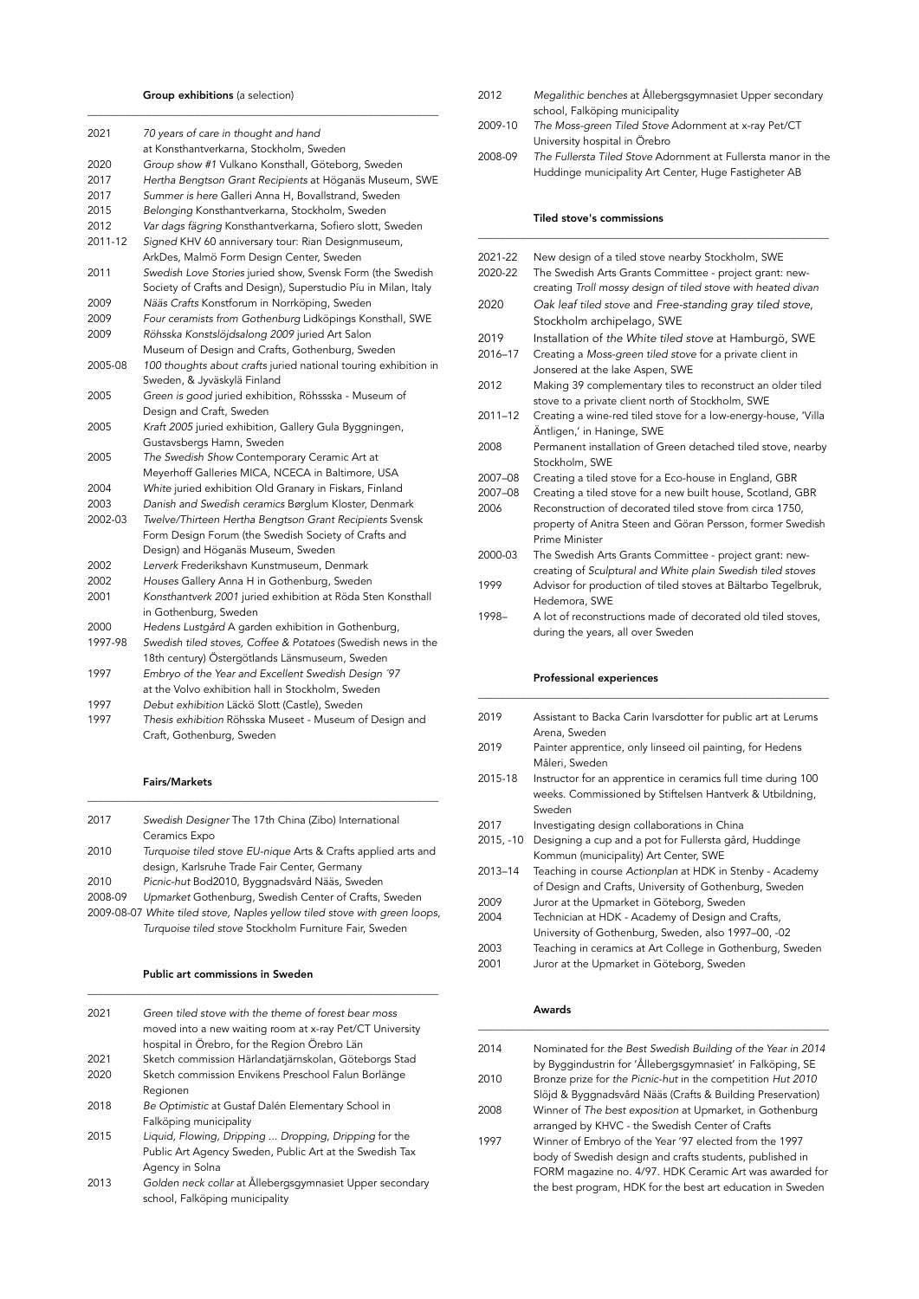|  | <b>Group exhibitions</b> (a selection) |  |  |  |  |
|--|----------------------------------------|--|--|--|--|
|--|----------------------------------------|--|--|--|--|

\_\_\_\_\_\_\_\_\_\_\_\_\_\_\_\_\_\_\_\_\_\_\_\_\_\_\_\_\_\_\_\_\_\_\_\_\_\_\_\_\_\_\_\_\_\_\_\_\_\_\_\_\_\_\_\_\_\_\_\_\_\_\_\_\_

| 2021    | 70 years of care in thought and hand<br>at Konsthantverkarna, Stockholm, Sweden |
|---------|---------------------------------------------------------------------------------|
| 2020    | Group show #1 Vulkano Konsthall, Göteborg, Sweden                               |
| 2017    | Hertha Bengtson Grant Recipients at Höganäs Museum, SWE                         |
| 2017    | Summer is here Galleri Anna H, Bovallstrand, Sweden                             |
| 2015    | Belonging Konsthantverkarna, Stockholm, Sweden                                  |
| 2012    | Var dags fägring Konsthantverkarna, Sofiero slott, Sweden                       |
| 2011-12 | Signed KHV 60 anniversary tour: Rian Designmuseum,                              |
|         | ArkDes, Malmö Form Design Center, Sweden                                        |
| 2011    | Swedish Love Stories juried show, Svensk Form (the Swedish                      |
|         | Society of Crafts and Design), Superstudio Píu in Milan, Italy                  |
| 2009    | Nääs Crafts Konstforum in Norrköping, Sweden                                    |
| 2009    | Four ceramists from Gothenburg Lidköpings Konsthall, SWE                        |
| 2009    | Röhsska Konstslöjdsalong 2009 juried Art Salon                                  |
|         | Museum of Design and Crafts, Gothenburg, Sweden                                 |
| 2005-08 | 100 thoughts about crafts juried national touring exhibition in                 |
|         | Sweden, & Jyväskylä Finland                                                     |
| 2005    | Green is good juried exhibition, Röhssska - Museum of                           |
|         | Design and Craft, Sweden                                                        |
| 2005    | Kraft 2005 juried exhibition, Gallery Gula Byggningen,                          |
|         | Gustavsbergs Hamn, Sweden                                                       |
| 2005    | The Swedish Show Contemporary Ceramic Art at                                    |
|         | Meyerhoff Galleries MICA, NCECA in Baltimore, USA                               |
| 2004    | White juried exhibition Old Granary in Fiskars, Finland                         |
| 2003    | Danish and Swedish ceramics Børglum Kloster, Denmark                            |
| 2002-03 | Twelve/Thirteen Hertha Bengtson Grant Recipients Svensk                         |
|         | Form Design Forum (the Swedish Society of Crafts and                            |
|         | Design) and Höganäs Museum, Sweden                                              |
| 2002    | Lerverk Frederikshavn Kunstmuseum, Denmark                                      |
| 2002    | Houses Gallery Anna H in Gothenburg, Sweden                                     |
| 2001    | Konsthantverk 2001 juried exhibition at Röda Sten Konsthall                     |
|         | in Gothenburg, Sweden                                                           |
| 2000    | Hedens Lustgård A garden exhibition in Gothenburg,                              |
| 1997-98 | Swedish tiled stoves, Coffee & Potatoes (Swedish news in the                    |
|         | 18th century) Östergötlands Länsmuseum, Sweden                                  |
| 1997    | Embryo of the Year and Excellent Swedish Design '97                             |
|         | at the Volvo exhibition hall in Stockholm, Sweden                               |
| 1997    | Debut exhibition Läckö Slott (Castle), Sweden                                   |
| 1997    | Thesis exhibition Röhsska Museet - Museum of Design and                         |
|         | Craft, Gothenburg, Sweden                                                       |

## Fairs/Markets

| 2017    | Swedish Designer The 17th China (Zibo) International                      |
|---------|---------------------------------------------------------------------------|
|         | Ceramics Expo                                                             |
| 2010    | Turquoise tiled stove EU-nique Arts & Crafts applied arts and             |
|         | design, Karlsruhe Trade Fair Center, Germany                              |
| 2010    | Picnic-hut Bod2010, Byggnadsvård Nääs, Sweden                             |
| 2008-09 | Upmarket Gothenburg, Swedish Center of Crafts, Sweden                     |
|         | 2009-08-07 White tiled stove, Naples yellow tiled stove with green loops, |
|         | Turquoise tiled stove Stockholm Furniture Fair, Sweden                    |

\_\_\_\_\_\_\_\_\_\_\_\_\_\_\_\_\_\_\_\_\_\_\_\_\_\_\_\_\_\_\_\_\_\_\_\_\_\_\_\_\_\_\_\_\_\_\_\_\_\_\_\_\_\_\_\_\_\_\_\_\_\_\_\_\_

\_\_\_\_\_\_\_\_\_\_\_\_\_\_\_\_\_\_\_\_\_\_\_\_\_\_\_\_\_\_\_\_\_\_\_\_\_\_\_\_\_\_\_\_\_\_\_\_\_\_\_\_\_\_\_\_\_\_\_\_\_\_\_\_\_

## Public art commissions in Sweden

| 2021 | Green tiled stove with the theme of forest bear moss     |
|------|----------------------------------------------------------|
|      | moved into a new waiting room at x-ray Pet/CT University |
|      | hospital in Örebro, for the Region Örebro Län            |
| 2021 | Sketch commission Härlandatjärnskolan, Göteborgs Stad    |
| 2020 | Sketch commission Envikens Preschool Falun Borlänge      |
|      | Regionen                                                 |
| 2018 | Be Optimistic at Gustaf Dalén Elementary School in       |
|      | Falköping municipality                                   |
| 2015 | Liquid, Flowing, Dripping  Dropping, Dripping for the    |
|      | Public Art Agency Sweden, Public Art at the Swedish Tax  |
|      | Agency in Solna                                          |
| 2013 | Golden neck collar at Ållebergsgymnasiet Unper secondary |

2013 *Golden neck collar* at Ållebergsgymnasiet Upper secondary school, Falköping municipality

- 2012 *Megalithic benches* at Ållebergsgymnasiet Upper secondary school, Falköping municipality<br>2009-10 The Moss-green Tiled Stove Ad
- 2009-10 *The Moss-green Tiled Stove* Adornment at x-ray Pet/CT University hospital in Örebro<br>2008-09 The Fullersta Tiled Stove Adc
- 2008-09 *The Fullersta Tiled Stove* Adornment at Fullersta manor in the Huddinge municipality Art Center, Huge Fastigheter AB

\_\_\_\_\_\_\_\_\_\_\_\_\_\_\_\_\_\_\_\_\_\_\_\_\_\_\_\_\_\_\_\_\_\_\_\_\_\_\_\_\_\_\_\_\_\_\_\_\_\_\_\_\_\_\_\_\_\_\_\_\_\_\_\_\_

## Tiled stove's commissions

| 2021-22     | New design of a tiled stove nearby Stockholm, SWE                                                                       |
|-------------|-------------------------------------------------------------------------------------------------------------------------|
| 2020-22     | The Swedish Arts Grants Committee - project grant: new-<br>creating Troll mossy design of tiled stove with heated divan |
| 2020        | Oak leaf tiled stove and Free-standing gray tiled stove,                                                                |
|             | Stockholm archipelago, SWE                                                                                              |
| 2019        | Installation of the White tiled stove at Hamburgö, SWE                                                                  |
| 2016-17     | Creating a Moss-green tiled stove for a private client in                                                               |
|             | Jonsered at the lake Aspen, SWE                                                                                         |
| 2012        | Making 39 complementary tiles to reconstruct an older tiled<br>stove to a private client north of Stockholm, SWE        |
| $2011 - 12$ | Creating a wine-red tiled stove for a low-energy-house, 'Villa                                                          |
|             | Äntligen,' in Haninge, SWE                                                                                              |
| 2008        | Permanent installation of Green detached tiled stove, nearby                                                            |
|             | Stockholm, SWE                                                                                                          |
| 2007-08     | Creating a tiled stove for a Eco-house in England, GBR                                                                  |
| 2007-08     | Creating a tiled stove for a new built house, Scotland, GBR                                                             |
| 2006        | Reconstruction of decorated tiled stove from circa 1750,                                                                |
|             | property of Anitra Steen and Göran Persson, former Swedish                                                              |
|             | Prime Minister                                                                                                          |
| 2000-03     | The Swedish Arts Grants Committee - project grant: new-                                                                 |
|             | creating of Sculptural and White plain Swedish tiled stoves                                                             |
| 1999        | Advisor for production of tiled stoves at Bältarbo Tegelbruk,                                                           |
|             | Hedemora, SWE                                                                                                           |
| 1998-       | A lot of reconstructions made of decorated old tiled stoves,                                                            |
|             | during the years, all over Sweden                                                                                       |

## Professional experiences

| 2019        | Assistant to Backa Carin Ivarsdotter for public art at Lerums<br>Arena, Sweden                                                      |
|-------------|-------------------------------------------------------------------------------------------------------------------------------------|
| 2019        | Painter apprentice, only linseed oil painting, for Hedens<br>Måleri, Sweden                                                         |
| 2015-18     | Instructor for an apprentice in ceramics full time during 100<br>weeks. Commissioned by Stiftelsen Hantverk & Utbildning,<br>Sweden |
| 2017        | Investigating design collaborations in China                                                                                        |
| $2015, -10$ | Designing a cup and a pot for Fullersta gård, Huddinge                                                                              |
|             | Kommun (municipality) Art Center, SWE                                                                                               |
| 2013-14     | Teaching in course Actionplan at HDK in Stenby - Academy<br>of Design and Crafts, University of Gothenburg, Sweden                  |
| 2009        | Juror at the Upmarket in Göteborg, Sweden                                                                                           |
| 2004        | Technician at HDK - Academy of Design and Crafts,                                                                                   |
|             | University of Gothenburg, Sweden, also 1997-00, -02                                                                                 |
| 2003        | Teaching in ceramics at Art College in Gothenburg, Sweden                                                                           |
| 2001        | Juror at the Upmarket in Göteborg, Sweden                                                                                           |
|             |                                                                                                                                     |

\_\_\_\_\_\_\_\_\_\_\_\_\_\_\_\_\_\_\_\_\_\_\_\_\_\_\_\_\_\_\_\_\_\_\_\_\_\_\_\_\_\_\_\_\_\_\_\_\_\_\_\_\_\_\_\_\_\_\_\_\_\_\_\_\_

#### Awards

| 2014 | Nominated for the Best Swedish Building of the Year in 2014<br>by Byggindustrin for 'Ållebergsgymnasiet' in Falköping, SE |
|------|---------------------------------------------------------------------------------------------------------------------------|
| 2010 | Bronze prize for the Picnic-hut in the competition Hut 2010                                                               |
|      | Slöjd & Byggnadsvård Nääs (Crafts & Building Preservation)                                                                |
| 2008 | Winner of The best exposition at Upmarket, in Gothenburg                                                                  |
|      | arranged by KHVC - the Swedish Center of Crafts                                                                           |
| 1997 | Winner of Embryo of the Year '97 elected from the 1997                                                                    |
|      | body of Swedish design and crafts students, published in                                                                  |
|      | FORM magazine no. 4/97. HDK Ceramic Art was awarded for                                                                   |
|      | the best program, HDK for the best art education in Sweden                                                                |

\_\_\_\_\_\_\_\_\_\_\_\_\_\_\_\_\_\_\_\_\_\_\_\_\_\_\_\_\_\_\_\_\_\_\_\_\_\_\_\_\_\_\_\_\_\_\_\_\_\_\_\_\_\_\_\_\_\_\_\_\_\_\_\_\_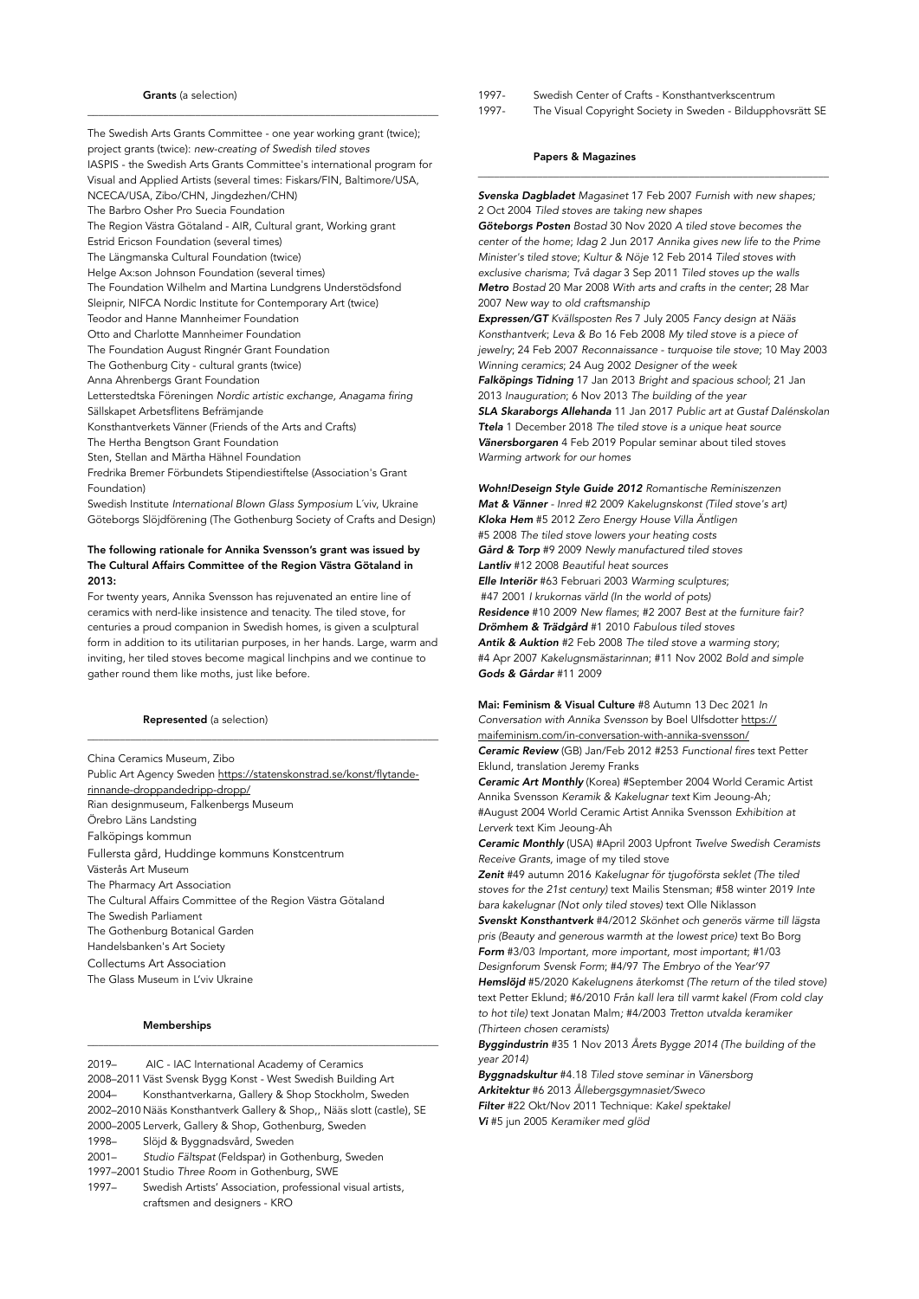### Grants (a selection)

The Swedish Arts Grants Committee - one year working grant (twice); project grants (twice): *new-creating of Swedish tiled stoves* IASPIS - the Swedish Arts Grants Committee's international program for Visual and Applied Artists (several times: Fiskars/FIN, Baltimore/USA, NCECA/USA, Zibo/CHN, Jingdezhen/CHN) The Barbro Osher Pro Suecia Foundation The Region Västra Götaland - AIR, Cultural grant, Working grant Estrid Ericson Foundation (several times) The Längmanska Cultural Foundation (twice) Helge Ax:son Johnson Foundation (several times) The Foundation Wilhelm and Martina Lundgrens Understödsfond Sleipnir, NIFCA Nordic Institute for Contemporary Art (twice) Teodor and Hanne Mannheimer Foundation Otto and Charlotte Mannheimer Foundation The Foundation August Ringnér Grant Foundation The Gothenburg City - cultural grants (twice) Anna Ahrenbergs Grant Foundation Letterstedtska Föreningen *Nordic artistic exchange, Anagama firing* Sällskapet Arbetsflitens Befrämjande Konsthantverkets Vänner (Friends of the Arts and Crafts) The Hertha Bengtson Grant Foundation Sten, Stellan and Märtha Hähnel Foundation Fredrika Bremer Förbundets Stipendiestiftelse (Association's Grant Foundation) Swedish Institute *International Blown Glass Symposium* L´viv, Ukraine Göteborgs Slöjdförening (The Gothenburg Society of Crafts and Design)

\_\_\_\_\_\_\_\_\_\_\_\_\_\_\_\_\_\_\_\_\_\_\_\_\_\_\_\_\_\_\_\_\_\_\_\_\_\_\_\_\_\_\_\_\_\_\_\_\_\_\_\_\_\_\_\_\_\_\_\_\_\_\_\_\_

## The following rationale for Annika Svensson's grant was issued by The Cultural Affairs Committee of the Region Västra Götaland in 2013:

For twenty years, Annika Svensson has rejuvenated an entire line of ceramics with nerd-like insistence and tenacity. The tiled stove, for centuries a proud companion in Swedish homes, is given a sculptural form in addition to its utilitarian purposes, in her hands. Large, warm and inviting, her tiled stoves become magical linchpins and we continue to gather round them like moths, just like before.

\_\_\_\_\_\_\_\_\_\_\_\_\_\_\_\_\_\_\_\_\_\_\_\_\_\_\_\_\_\_\_\_\_\_\_\_\_\_\_\_\_\_\_\_\_\_\_\_\_\_\_\_\_\_\_\_\_\_\_\_\_\_\_\_\_

Represented (a selection)

China Ceramics Museum, Zibo Public Art Agency Sweden [https://statenskonstrad.se/konst/flytande](https://statenskonstrad.se/konst/flytande-rinnande-droppandedripp-dropp/)[rinnande-droppandedripp-dropp/](https://statenskonstrad.se/konst/flytande-rinnande-droppandedripp-dropp/) Rian designmuseum, Falkenbergs Museum Örebro Läns Landsting Falköpings kommun Fullersta gård, Huddinge kommuns Konstcentrum Västerås Art Museum The Pharmacy Art Association The Cultural Affairs Committee of the Region Västra Götaland The Swedish Parliament The Gothenburg Botanical Garden Handelsbanken's Art Society Collectums Art Association The Glass Museum in L'viv Ukraine

## Memberships

2019– AIC - IAC International Academy of Ceramics 2008–2011 Väst Svensk Bygg Konst - West Swedish Building Art 2004– Konsthantverkarna, Gallery & Shop Stockholm, Sweden 2002–2010 Nääs Konsthantverk Gallery & Shop,, Nääs slott (castle), SE 2000–2005 Lerverk, Gallery & Shop, Gothenburg, Sweden 1998– Slöjd & Byggnadsvård, Sweden 2001– *Studio Fältspat* (Feldspar) in Gothenburg, Sweden 1997–2001 Studio *Three Room* in Gothenburg, SWE 1997– Swedish Artists' Association, professional visual artists, craftsmen and designers - KRO

\_\_\_\_\_\_\_\_\_\_\_\_\_\_\_\_\_\_\_\_\_\_\_\_\_\_\_\_\_\_\_\_\_\_\_\_\_\_\_\_\_\_\_\_\_\_\_\_\_\_\_\_\_\_\_\_\_\_\_\_\_\_\_\_\_

- 1997- Swedish Center of Crafts Konsthantverkscentrum
- 1997- The Visual Copyright Society in Sweden Bildupphovsrätt SE

#### Papers & Magazines

*Svenska Dagbladet Magasinet* 17 Feb 2007 *Furnish with new shapes;* 2 Oct 2004 *Tiled stoves are taking new shapes*

\_\_\_\_\_\_\_\_\_\_\_\_\_\_\_\_\_\_\_\_\_\_\_\_\_\_\_\_\_\_\_\_\_\_\_\_\_\_\_\_\_\_\_\_\_\_\_\_\_\_\_\_\_\_\_\_\_\_\_\_\_\_\_\_\_

*Göteborgs Posten Bostad* 30 Nov 2020 *A tiled stove becomes the center of the home*; *Idag* 2 Jun 2017 *Annika gives new life to the Prime Minister's tiled stove*; *Kultur & Nöje* 12 Feb 2014 *Tiled stoves with exclusive charisma*; *Två dagar* 3 Sep 2011 *Tiled stoves up the walls Metro Bostad* 20 Mar 2008 *With arts and crafts in the center*; 28 Mar 2007 *New way to old craftsmanship*

*Expressen/GT Kvällsposten Res* 7 July 2005 *Fancy design at Nääs Konsthantverk*; *Leva & Bo* 16 Feb 2008 *My tiled stove is a piece of jewelry*; 24 Feb 2007 *Reconnaissance - turquoise tile stove*; 10 May 2003 *Winning ceramics*; 24 Aug 2002 *Designer of the week Falköpings Tidning* 17 Jan 2013 *Bright and spacious school*; 21 Jan 2013 *Inauguration*; 6 Nov 2013 *The building of the year SLA Skaraborgs Allehanda* 11 Jan 2017 *Public art at Gustaf Dalénskolan Ttela* 1 December 2018 *The tiled stove is a unique heat source Vänersborgaren* 4 Feb 2019 Popular seminar about tiled stoves *Warming artwork for our homes* 

*Wohn!Deseign Style Guide 2012 Romantische Reminiszenzen Mat & Vänner - Inred* #2 2009 *Kakelugnskonst (Tiled stove's art) Kloka Hem* #5 2012 *Zero Energy House Villa Äntligen* #5 2008 *The tiled stove lowers your heating costs Gård & Torp* #9 2009 *Newly manufactured tiled stoves Lantliv* #12 2008 *Beautiful heat sources Elle Interiör* #63 Februari 2003 *Warming sculptures*; #47 2001 *I krukornas värld (In the world of pots) Residence* #10 2009 *New flames*; #2 2007 *Best at the furniture fair? Drömhem & Trädgård* #1 2010 *Fabulous tiled stoves Antik & Auktion* #2 Feb 2008 *The tiled stove a warming story*; #4 Apr 2007 *Kakelugnsmästarinnan*; #11 Nov 2002 *Bold and simple Gods & Gårdar* #11 2009

Mai: Feminism & Visual Culture #8 Autumn 13 Dec 2021 *In Conversation with Annika Svensson* by Boel Ulfsdotter [https://](https://maifeminism.com/in-conversation-with-annika-svensson/) [maifeminism.com/in-conversation-with-annika-svensson/](https://maifeminism.com/in-conversation-with-annika-svensson/) *Ceramic Review* (GB) Jan/Feb 2012 #253 *Functional fires* text Petter Eklund, translation Jeremy Franks

*Ceramic Art Monthly* (Korea) #September 2004 World Ceramic Artist Annika Svensson *Keramik & Kakelugnar text* Kim Jeoung-Ah*;*  #August 2004 World Ceramic Artist Annika Svensson *Exhibition at Lerverk* text Kim Jeoung-Ah

*Ceramic Monthly* (USA) #April 2003 Upfront *Twelve Swedish Ceramists Receive Grants,* image of my tiled stove

*Zenit* #49 autumn 2016 *Kakelugnar för tjugoförsta seklet (The tiled stoves for the 21st century)* text Mailis Stensman; #58 winter 2019 *Inte bara kakelugnar (Not only tiled stoves)* text Olle Niklasson

*Svenskt Konsthantverk* #4/2012 *Skönhet och generös värme till lägsta pris (Beauty and generous warmth at the lowest price)* text Bo Borg *Form* #3/03 *Important, more important, most important*; #1/03 *Designforum Svensk Form*; #4/97 *The Embryo of the Year'97 Hemslöjd* #5/2020 *Kakelugnens återkomst (The return of the tiled stove)* text Petter Eklund; #6/2010 *Från kall lera till varmt kakel (From cold clay to hot tile)* text Jonatan Malm*;* #4/2003 *Tretton utvalda keramiker (Thirteen chosen ceramists)*

*Byggindustrin* #35 1 Nov 2013 *Årets Bygge 2014 (The building of the year 2014)*

*Byggnadskultur* #4.18 *Tiled stove seminar in Vänersborg Arkitektur* #6 2013 *Ållebergsgymnasiet/Sweco Filter* #22 Okt/Nov 2011 Technique: *Kakel spektakel Vi* #5 jun 2005 *Keramiker med glöd*